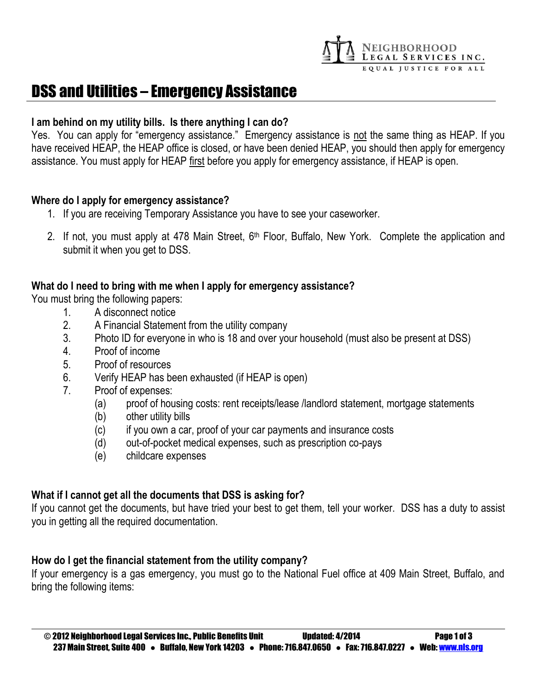

# DSS and Utilities – Emergency Assistance

## **I am behind on my utility bills. Is there anything I can do?**

Yes. You can apply for "emergency assistance." Emergency assistance is not the same thing as HEAP. If you have received HEAP, the HEAP office is closed, or have been denied HEAP, you should then apply for emergency assistance. You must apply for HEAP first before you apply for emergency assistance, if HEAP is open.

## **Where do I apply for emergency assistance?**

- 1. If you are receiving Temporary Assistance you have to see your caseworker.
- 2. If not, you must apply at 478 Main Street, 6<sup>th</sup> Floor, Buffalo, New York. Complete the application and submit it when you get to DSS.

# **What do I need to bring with me when I apply for emergency assistance?**

You must bring the following papers:

- 1. A disconnect notice
- 2. A Financial Statement from the utility company
- 3. Photo ID for everyone in who is 18 and over your household (must also be present at DSS)
- 4. Proof of income
- 5. Proof of resources
- 6. Verify HEAP has been exhausted (if HEAP is open)
- 7. Proof of expenses:
	- (a) proof of housing costs: rent receipts/lease /landlord statement, mortgage statements
	- (b) other utility bills
	- (c) if you own a car, proof of your car payments and insurance costs
	- (d) out-of-pocket medical expenses, such as prescription co-pays
	- (e) childcare expenses

# **What if I cannot get all the documents that DSS is asking for?**

If you cannot get the documents, but have tried your best to get them, tell your worker. DSS has a duty to assist you in getting all the required documentation.

# **How do I get the financial statement from the utility company?**

If your emergency is a gas emergency, you must go to the National Fuel office at 409 Main Street, Buffalo, and bring the following items: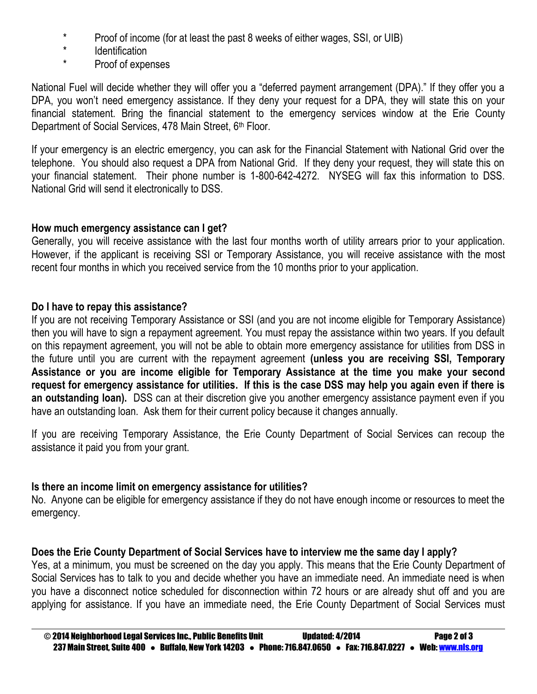- \* Proof of income (for at least the past 8 weeks of either wages, SSI, or UIB)<br>
\* leastification
- Identification
- \* Proof of expenses

National Fuel will decide whether they will offer you a "deferred payment arrangement (DPA)." If they offer you a DPA, you won't need emergency assistance. If they deny your request for a DPA, they will state this on your financial statement. Bring the financial statement to the emergency services window at the Erie County Department of Social Services, 478 Main Street, 6th Floor.

If your emergency is an electric emergency, you can ask for the Financial Statement with National Grid over the telephone. You should also request a DPA from National Grid. If they deny your request, they will state this on your financial statement. Their phone number is 1-800-642-4272. NYSEG will fax this information to DSS. National Grid will send it electronically to DSS.

# **How much emergency assistance can I get?**

Generally, you will receive assistance with the last four months worth of utility arrears prior to your application. However, if the applicant is receiving SSI or Temporary Assistance, you will receive assistance with the most recent four months in which you received service from the 10 months prior to your application.

# **Do I have to repay this assistance?**

If you are not receiving Temporary Assistance or SSI (and you are not income eligible for Temporary Assistance) then you will have to sign a repayment agreement. You must repay the assistance within two years. If you default on this repayment agreement, you will not be able to obtain more emergency assistance for utilities from DSS in the future until you are current with the repayment agreement **(unless you are receiving SSI, Temporary Assistance or you are income eligible for Temporary Assistance at the time you make your second request for emergency assistance for utilities. If this is the case DSS may help you again even if there is an outstanding loan).** DSS can at their discretion give you another emergency assistance payment even if you have an outstanding loan. Ask them for their current policy because it changes annually.

If you are receiving Temporary Assistance, the Erie County Department of Social Services can recoup the assistance it paid you from your grant.

# **Is there an income limit on emergency assistance for utilities?**

No. Anyone can be eligible for emergency assistance if they do not have enough income or resources to meet the emergency.

# **Does the Erie County Department of Social Services have to interview me the same day I apply?**

Yes, at a minimum, you must be screened on the day you apply. This means that the Erie County Department of Social Services has to talk to you and decide whether you have an immediate need. An immediate need is when you have a disconnect notice scheduled for disconnection within 72 hours or are already shut off and you are applying for assistance. If you have an immediate need, the Erie County Department of Social Services must